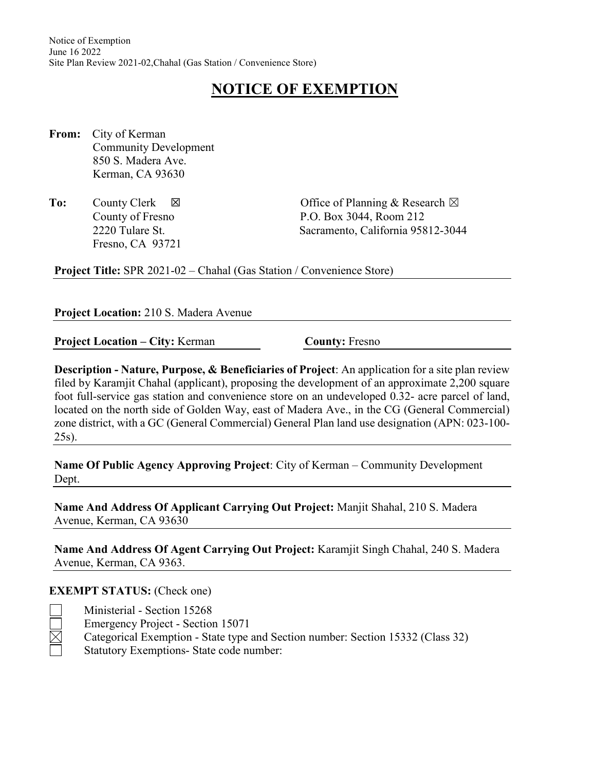# **NOTICE OF EXEMPTION**

- **From:** City of Kerman Community Development 850 S. Madera Ave. Kerman, CA 93630
- Fresno, CA 93721

**To:** County Clerk ⊠ Office of Planning & Research ⊠ County of Fresno P.O. Box 3044, Room 212 2220 Tulare St. Sacramento, California 95812-3044

**Project Title:** SPR 2021-02 – Chahal (Gas Station / Convenience Store)

#### **Project Location:** 210 S. Madera Avenue

**Project Location – City: Kerman <b>County:** Fresno

**Description - Nature, Purpose, & Beneficiaries of Project**: An application for a site plan review filed by Karamjit Chahal (applicant), proposing the development of an approximate 2,200 square foot full-service gas station and convenience store on an undeveloped 0.32- acre parcel of land, located on the north side of Golden Way, east of Madera Ave., in the CG (General Commercial) zone district, with a GC (General Commercial) General Plan land use designation (APN: 023-100- 25s).

**Name Of Public Agency Approving Project**: City of Kerman – Community Development Dept.

**Name And Address Of Applicant Carrying Out Project:** Manjit Shahal, 210 S. Madera Avenue, Kerman, CA 93630

**Name And Address Of Agent Carrying Out Project:** Karamjit Singh Chahal, 240 S. Madera Avenue, Kerman, CA 9363.

#### **EXEMPT STATUS:** (Check one)

- 
- Ministerial Section 15268 Emergency Project - Section 15071 Categorical Exemption - State type and Section number: Section 15332 (Class 32) Statutory Exemptions- State code number: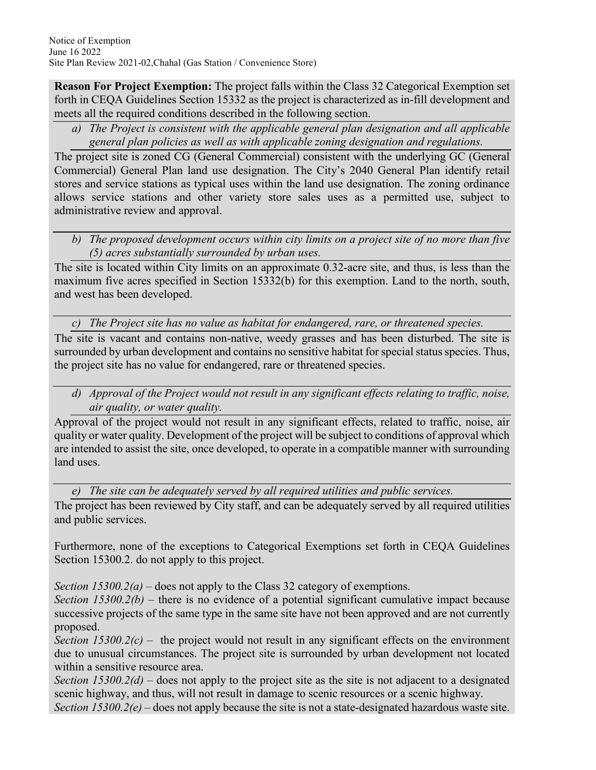**Reason For Project Exemption:** The project falls within the Class 32 Categorical Exemption set forth in CEQA Guidelines Section 15332 as the project is characterized as in-fill development and meets all the required conditions described in the following section.

*a) The Project is consistent with the applicable general plan designation and all applicable general plan policies as well as with applicable zoning designation and regulations.*

The project site is zoned CG (General Commercial) consistent with the underlying GC (General Commercial) General Plan land use designation. The City's 2040 General Plan identify retail stores and service stations as typical uses within the land use designation. The zoning ordinance allows service stations and other variety store sales uses as a permitted use, subject to administrative review and approval.

*b) The proposed development occurs within city limits on a project site of no more than five (5) acres substantially surrounded by urban uses.*

The site is located within City limits on an approximate 0.32-acre site, and thus, is less than the maximum five acres specified in Section 15332(b) for this exemption. Land to the north, south, and west has been developed.

*c) The Project site has no value as habitat for endangered, rare, or threatened species.*

The site is vacant and contains non-native, weedy grasses and has been disturbed. The site is surrounded by urban development and contains no sensitive habitat for special status species. Thus, the project site has no value for endangered, rare or threatened species.

*d) Approval of the Project would not result in any significant effects relating to traffic, noise, air quality, or water quality.*

Approval of the project would not result in any significant effects, related to traffic, noise, air quality or water quality. Development of the project will be subject to conditions of approval which are intended to assist the site, once developed, to operate in a compatible manner with surrounding land uses.

*e) The site can be adequately served by all required utilities and public services.*

The project has been reviewed by City staff, and can be adequately served by all required utilities and public services.

Furthermore, none of the exceptions to Categorical Exemptions set forth in CEQA Guidelines Section 15300.2. do not apply to this project.

*Section 15300.2(a)* – does not apply to the Class 32 category of exemptions.

*Section 15300.2(b)* – there is no evidence of a potential significant cumulative impact because successive projects of the same type in the same site have not been approved and are not currently proposed.

*Section 15300.2(c)* – the project would not result in any significant effects on the environment due to unusual circumstances. The project site is surrounded by urban development not located within a sensitive resource area.

*Section 15300.2(d)* – does not apply to the project site as the site is not adjacent to a designated scenic highway, and thus, will not result in damage to scenic resources or a scenic highway.

*Section 15300.2(e)* – does not apply because the site is not a state-designated hazardous waste site.